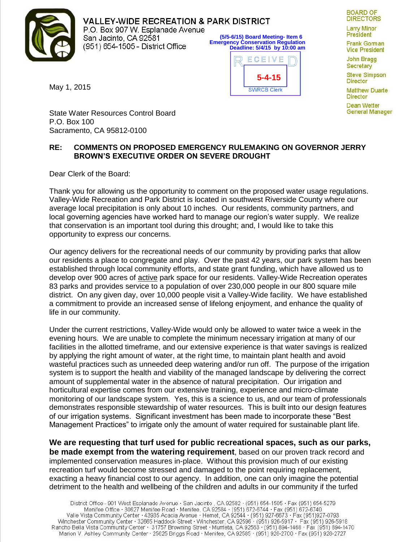

**VALLEY-WIDE RECREATION & PARK DISTRICT** P.O. Box 907 W. Esplanade Avenue **(5/5-6/15) Board Meeting- Item 6** San Jacinto, CA 92581 **Emergency Conservation Regulation** (951) 654-1505 - District Office **Deadline: 5/4/15 by 10:00 am**



**BOARD OF DIRECTORS** 

**Larry Minor President** 

**Frank Goman Vice President** 

**John Bragg** Secretary **Steve Simpson** 

**Director Matthew Duarte** 

**Director** 

Dean Wetter General Manager

May 1, 2015

State Water Resources Control Board P.O. Box 100 Sacramento, CA 95812-0100

## **RE: COMMENTS ON PROPOSED EMERGENCY RULEMAKING ON GOVERNOR JERRY BROWN'S EXECUTIVE ORDER ON SEVERE DROUGHT**

Dear Clerk of the Board:

Thank you for allowing us the opportunity to comment on the proposed water usage regulations. Valley-Wide Recreation and Park District is located in southwest Riverside County where our average local precipitation is only about 10 inches. Our residents, community partners, and local governing agencies have worked hard to manage our region's water supply. We realize that conservation is an important tool during this drought; and, I would like to take this opportunity to express our concerns.

Our agency delivers for the recreational needs of our community by providing parks that allow our residents a place to congregate and play. Over the past 42 years, our park system has been established through local community efforts, and state grant funding, which have allowed us to develop over 900 acres of active park space for our residents. Valley-Wide Recreation operates 83 parks and provides service to a population of over 230,000 people in our 800 square mile district. On any given day, over 10,000 people visit a Valley-Wide facility. We have established a commitment to provide an increased sense of lifelong enjoyment, and enhance the quality of life in our community.

Under the current restrictions, Valley-Wide would only be allowed to water twice a week in the evening hours. We are unable to complete the minimum necessary irrigation at many of our facilities in the allotted timeframe, and our extensive experience is that water savings is realized by applying the right amount of water, at the right time, to maintain plant health and avoid wasteful practices such as unneeded deep watering and/or run off. The purpose of the irrigation system is to support the health and viability of the managed landscape by delivering the correct amount of supplemental water in the absence of natural precipitation. Our irrigation and horticultural expertise comes from our extensive training, experience and micro-climate monitoring of our landscape system. Yes, this is a science to us, and our team of professionals demonstrates responsible stewardship of water resources. This is built into our design features of our irrigation systems. Significant investment has been made to incorporate these "Best Management Practices" to irrigate only the amount of water required for sustainable plant life.

**We are requesting that turf used for public recreational spaces, such as our parks, be made exempt from the watering requirement**, based on our proven track record and implemented conservation measures in-place. Without this provision much of our existing recreation turf would become stressed and damaged to the point requiring replacement, exacting a heavy financial cost to our agency. In addition, one can only imagine the potential detriment to the health and wellbeing of the children and adults in our community if the turfed